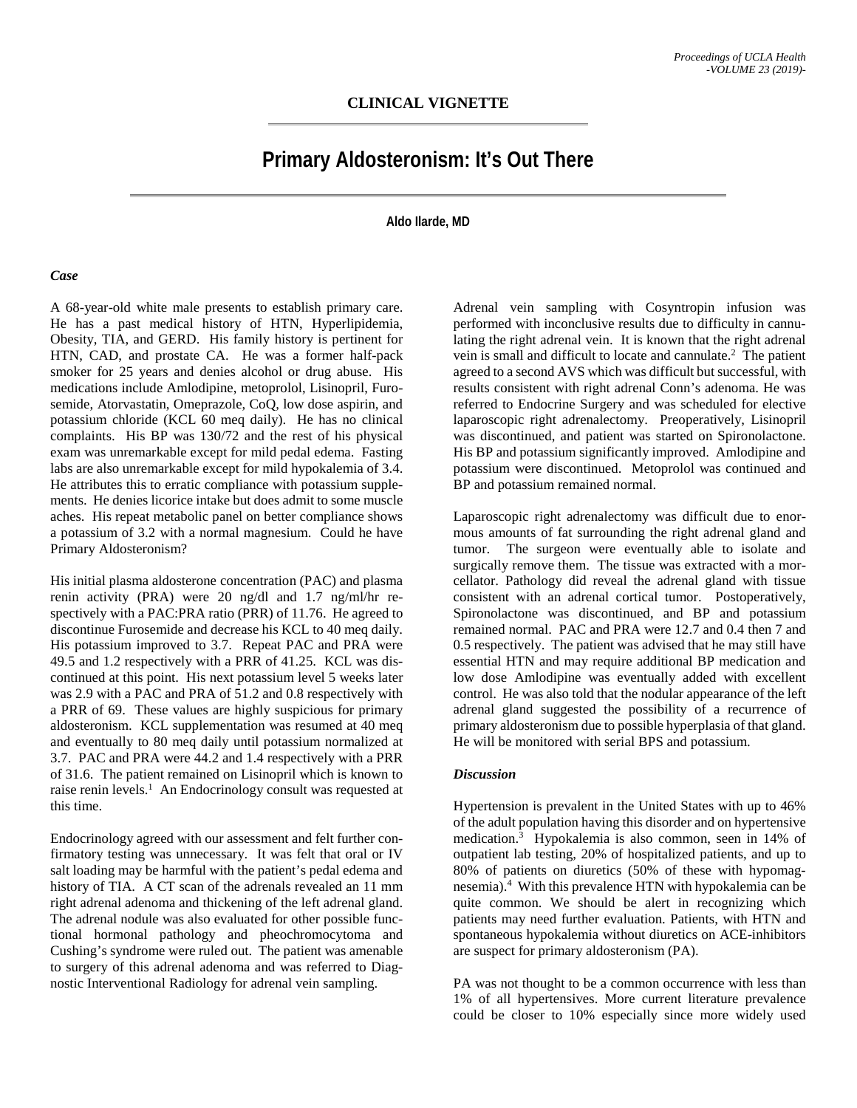## **Primary Aldosteronism: It's Out There**

**Aldo Ilarde, MD**

## *Case*

A 68-year-old white male presents to establish primary care. He has a past medical history of HTN, Hyperlipidemia, Obesity, TIA, and GERD. His family history is pertinent for HTN, CAD, and prostate CA. He was a former half-pack smoker for 25 years and denies alcohol or drug abuse. His medications include Amlodipine, metoprolol, Lisinopril, Furosemide, Atorvastatin, Omeprazole, CoQ, low dose aspirin, and potassium chloride (KCL 60 meq daily). He has no clinical complaints. His BP was 130/72 and the rest of his physical exam was unremarkable except for mild pedal edema. Fasting labs are also unremarkable except for mild hypokalemia of 3.4. He attributes this to erratic compliance with potassium supplements. He denies licorice intake but does admit to some muscle aches. His repeat metabolic panel on better compliance shows a potassium of 3.2 with a normal magnesium. Could he have Primary Aldosteronism?

His initial plasma aldosterone concentration (PAC) and plasma renin activity (PRA) were 20 ng/dl and 1.7 ng/ml/hr respectively with a PAC:PRA ratio (PRR) of 11.76. He agreed to discontinue Furosemide and decrease his KCL to 40 meq daily. His potassium improved to 3.7. Repeat PAC and PRA were 49.5 and 1.2 respectively with a PRR of 41.25. KCL was discontinued at this point. His next potassium level 5 weeks later was 2.9 with a PAC and PRA of 51.2 and 0.8 respectively with a PRR of 69. These values are highly suspicious for primary aldosteronism. KCL supplementation was resumed at 40 meq and eventually to 80 meq daily until potassium normalized at 3.7. PAC and PRA were 44.2 and 1.4 respectively with a PRR of 31.6. The patient remained on Lisinopril which is known to raise renin levels.<sup>1</sup> An Endocrinology consult was requested at this time.

Endocrinology agreed with our assessment and felt further confirmatory testing was unnecessary. It was felt that oral or IV salt loading may be harmful with the patient's pedal edema and history of TIA. A CT scan of the adrenals revealed an 11 mm right adrenal adenoma and thickening of the left adrenal gland. The adrenal nodule was also evaluated for other possible functional hormonal pathology and pheochromocytoma and Cushing's syndrome were ruled out. The patient was amenable to surgery of this adrenal adenoma and was referred to Diagnostic Interventional Radiology for adrenal vein sampling.

Adrenal vein sampling with Cosyntropin infusion was performed with inconclusive results due to difficulty in cannulating the right adrenal vein. It is known that the right adrenal vein is small and difficult to locate and cannulate.<sup>2</sup> The patient agreed to a second AVS which was difficult but successful, with results consistent with right adrenal Conn's adenoma. He was referred to Endocrine Surgery and was scheduled for elective laparoscopic right adrenalectomy. Preoperatively, Lisinopril was discontinued, and patient was started on Spironolactone. His BP and potassium significantly improved. Amlodipine and potassium were discontinued. Metoprolol was continued and BP and potassium remained normal.

Laparoscopic right adrenalectomy was difficult due to enormous amounts of fat surrounding the right adrenal gland and tumor. The surgeon were eventually able to isolate and surgically remove them. The tissue was extracted with a morcellator. Pathology did reveal the adrenal gland with tissue consistent with an adrenal cortical tumor. Postoperatively, Spironolactone was discontinued, and BP and potassium remained normal. PAC and PRA were 12.7 and 0.4 then 7 and 0.5 respectively. The patient was advised that he may still have essential HTN and may require additional BP medication and low dose Amlodipine was eventually added with excellent control. He was also told that the nodular appearance of the left adrenal gland suggested the possibility of a recurrence of primary aldosteronism due to possible hyperplasia of that gland. He will be monitored with serial BPS and potassium.

## *Discussion*

Hypertension is prevalent in the United States with up to 46% of the adult population having this disorder and on hypertensive medication.3 Hypokalemia is also common, seen in 14% of outpatient lab testing, 20% of hospitalized patients, and up to 80% of patients on diuretics (50% of these with hypomagnesemia).4 With this prevalence HTN with hypokalemia can be quite common. We should be alert in recognizing which patients may need further evaluation. Patients, with HTN and spontaneous hypokalemia without diuretics on ACE-inhibitors are suspect for primary aldosteronism (PA).

PA was not thought to be a common occurrence with less than 1% of all hypertensives. More current literature prevalence could be closer to 10% especially since more widely used